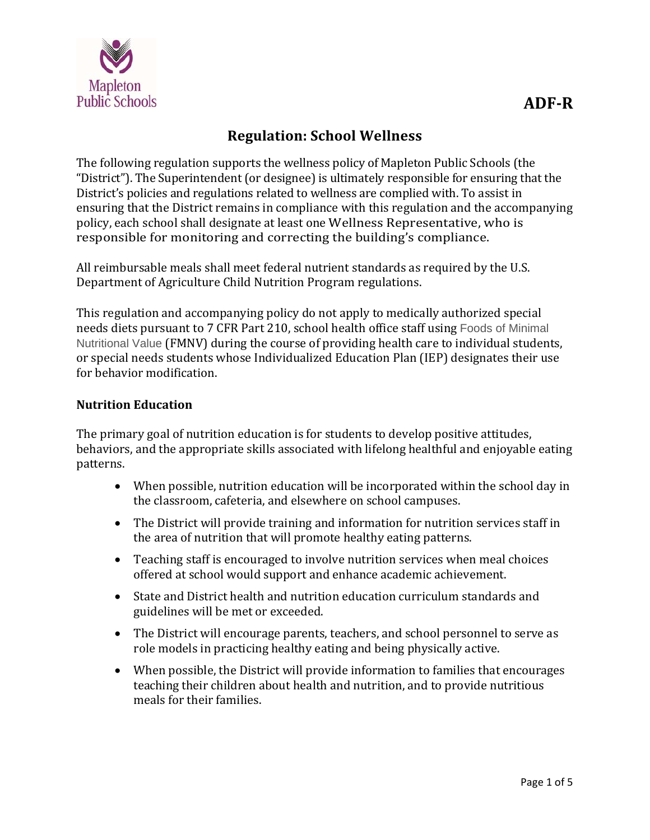

# **Regulation: School Wellness**

The following regulation supports the wellness policy of Mapleton Public Schools (the "District"). The Superintendent (or designee) is ultimately responsible for ensuring that the District's policies and regulations related to wellness are complied with. To assist in ensuring that the District remains in compliance with this regulation and the accompanying policy, each school shall designate at least one Wellness Representative, who is responsible for monitoring and correcting the building's compliance.

All reimbursable meals shall meet federal nutrient standards as required by the U.S. Department of Agriculture Child Nutrition Program regulations.

This regulation and accompanying policy do not apply to medically authorized special needs diets pursuant to 7 CFR Part 210, school health office staff using Foods of Minimal Nutritional Value (FMNV) during the course of providing health care to individual students, or special needs students whose Individualized Education Plan (IEP) designates their use for behavior modification.

#### **Nutrition Education**

The primary goal of nutrition education is for students to develop positive attitudes, behaviors, and the appropriate skills associated with lifelong healthful and enjoyable eating patterns. 

- When possible, nutrition education will be incorporated within the school day in the classroom, cafeteria, and elsewhere on school campuses.
- The District will provide training and information for nutrition services staff in the area of nutrition that will promote healthy eating patterns.
- Teaching staff is encouraged to involve nutrition services when meal choices offered at school would support and enhance academic achievement.
- State and District health and nutrition education curriculum standards and guidelines will be met or exceeded.
- The District will encourage parents, teachers, and school personnel to serve as role models in practicing healthy eating and being physically active.
- When possible, the District will provide information to families that encourages teaching their children about health and nutrition, and to provide nutritious meals for their families.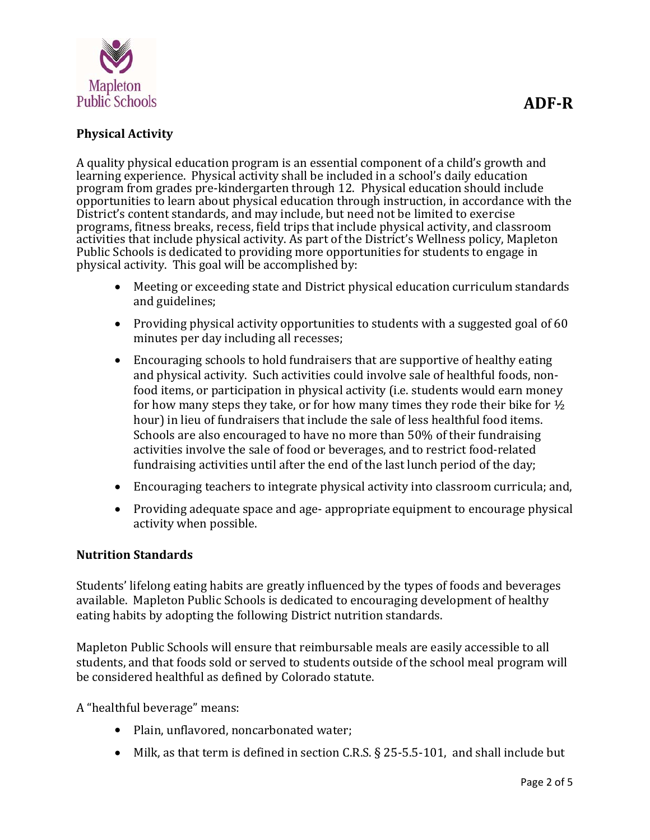

## **Physical Activity**

A quality physical education program is an essential component of a child's growth and learning experience. Physical activity shall be included in a school's daily education program from grades pre-kindergarten through 12. Physical education should include opportunities to learn about physical education through instruction, in accordance with the District's content standards, and may include, but need not be limited to exercise programs, fitness breaks, recess, field trips that include physical activity, and classroom activities that include physical activity. As part of the District's Wellness policy, Mapleton Public Schools is dedicated to providing more opportunities for students to engage in physical activity. This goal will be accomplished by:

- Meeting or exceeding state and District physical education curriculum standards and guidelines;
- Providing physical activity opportunities to students with a suggested goal of 60 minutes per day including all recesses;
- Encouraging schools to hold fundraisers that are supportive of healthy eating and physical activity. Such activities could involve sale of healthful foods, nonfood items, or participation in physical activity (i.e. students would earn money for how many steps they take, or for how many times they rode their bike for  $\frac{1}{2}$ hour) in lieu of fundraisers that include the sale of less healthful food items. Schools are also encouraged to have no more than 50% of their fundraising activities involve the sale of food or beverages, and to restrict food-related fundraising activities until after the end of the last lunch period of the day;
- Encouraging teachers to integrate physical activity into classroom curricula; and,
- Providing adequate space and age- appropriate equipment to encourage physical activity when possible.

#### **Nutrition Standards**

Students' lifelong eating habits are greatly influenced by the types of foods and beverages available. Mapleton Public Schools is dedicated to encouraging development of healthy eating habits by adopting the following District nutrition standards.

Mapleton Public Schools will ensure that reimbursable meals are easily accessible to all students, and that foods sold or served to students outside of the school meal program will be considered healthful as defined by Colorado statute.

A "healthful beverage" means:

- Plain, unflavored, noncarbonated water;
- Milk, as that term is defined in section C.R.S.  $\S$  25-5.5-101, and shall include but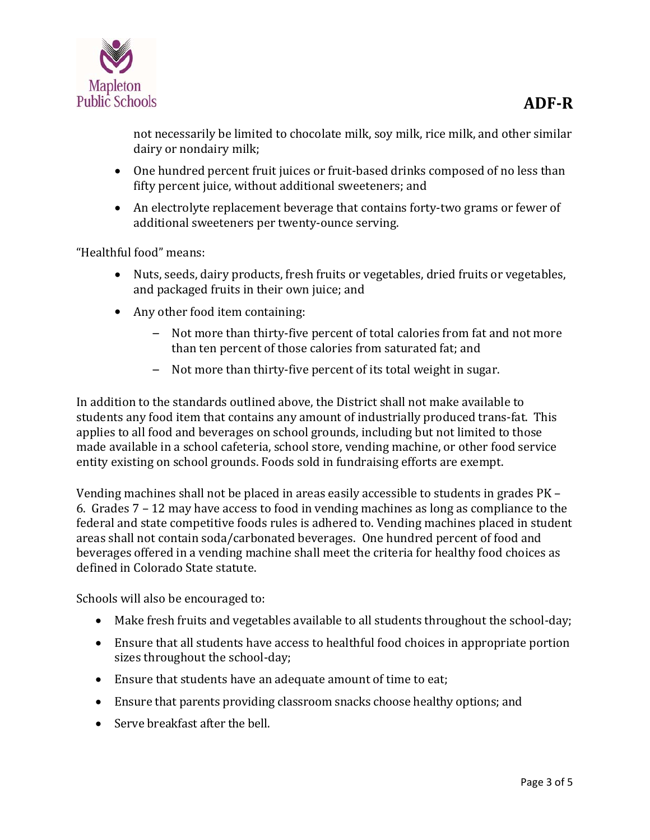

not necessarily be limited to chocolate milk, soy milk, rice milk, and other similar dairy or nondairy milk;

- One hundred percent fruit juices or fruit-based drinks composed of no less than fifty percent juice, without additional sweeteners; and
- An electrolyte replacement beverage that contains forty-two grams or fewer of additional sweeteners per twenty-ounce serving.

"Healthful food" means:

- Nuts, seeds, dairy products, fresh fruits or vegetables, dried fruits or vegetables, and packaged fruits in their own juice; and
- Any other food item containing:
	- Not more than thirty-five percent of total calories from fat and not more than ten percent of those calories from saturated fat; and
	- $-$  Not more than thirty-five percent of its total weight in sugar.

In addition to the standards outlined above, the District shall not make available to students any food item that contains any amount of industrially produced trans-fat. This applies to all food and beverages on school grounds, including but not limited to those made available in a school cafeteria, school store, vending machine, or other food service entity existing on school grounds. Foods sold in fundraising efforts are exempt.

Vending machines shall not be placed in areas easily accessible to students in grades PK – 6. Grades  $7 - 12$  may have access to food in vending machines as long as compliance to the federal and state competitive foods rules is adhered to. Vending machines placed in student areas shall not contain soda/carbonated beverages. One hundred percent of food and beverages offered in a vending machine shall meet the criteria for healthy food choices as defined in Colorado State statute.

Schools will also be encouraged to:

- Make fresh fruits and vegetables available to all students throughout the school-day;
- Ensure that all students have access to healthful food choices in appropriate portion sizes throughout the school-day;
- Ensure that students have an adequate amount of time to eat;
- Ensure that parents providing classroom snacks choose healthy options; and
- Serve breakfast after the bell.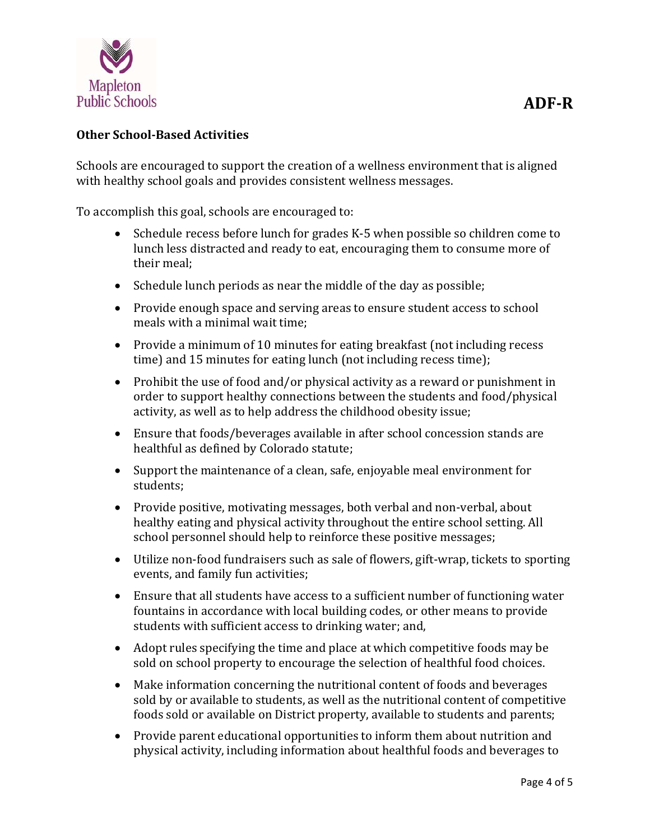

#### **Other School‐Based Activities**

Schools are encouraged to support the creation of a wellness environment that is aligned with healthy school goals and provides consistent wellness messages.

To accomplish this goal, schools are encouraged to:

- Schedule recess before lunch for grades  $K-5$  when possible so children come to lunch less distracted and ready to eat, encouraging them to consume more of their meal:
- Schedule lunch periods as near the middle of the day as possible;
- Provide enough space and serving areas to ensure student access to school meals with a minimal wait time:
- Provide a minimum of 10 minutes for eating breakfast (not including recess time) and 15 minutes for eating lunch (not including recess time);
- Prohibit the use of food and/or physical activity as a reward or punishment in order to support healthy connections between the students and food/physical activity, as well as to help address the childhood obesity issue;
- Ensure that foods/beverages available in after school concession stands are healthful as defined by Colorado statute;
- Support the maintenance of a clean, safe, enjoyable meal environment for students;
- Provide positive, motivating messages, both verbal and non-verbal, about healthy eating and physical activity throughout the entire school setting. All school personnel should help to reinforce these positive messages;
- Utilize non-food fundraisers such as sale of flowers, gift-wrap, tickets to sporting events, and family fun activities;
- Ensure that all students have access to a sufficient number of functioning water fountains in accordance with local building codes, or other means to provide students with sufficient access to drinking water; and,
- Adopt rules specifying the time and place at which competitive foods may be sold on school property to encourage the selection of healthful food choices.
- Make information concerning the nutritional content of foods and beverages sold by or available to students, as well as the nutritional content of competitive foods sold or available on District property, available to students and parents;
- Provide parent educational opportunities to inform them about nutrition and physical activity, including information about healthful foods and beverages to